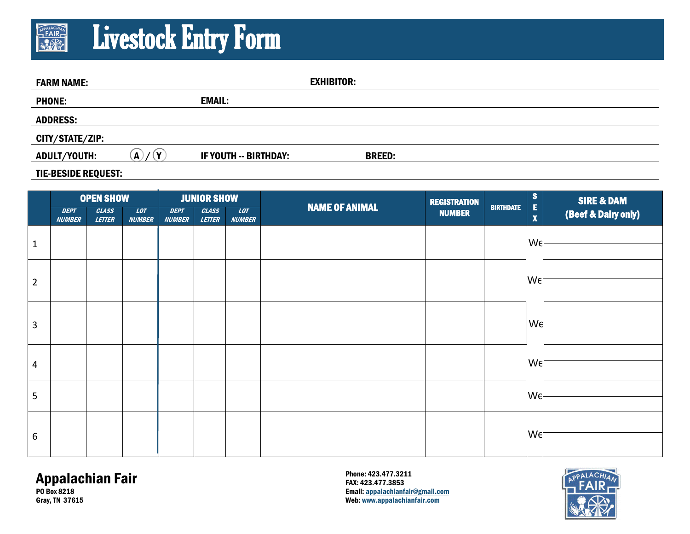## Livestock Entry Form **APPALACHIAN**

| <b>FARM NAME:</b> |         |                       | <b>EXHIBITOR:</b> |  |
|-------------------|---------|-----------------------|-------------------|--|
| <b>PHONE:</b>     |         | <b>EMAIL:</b>         |                   |  |
| <b>ADDRESS:</b>   |         |                       |                   |  |
| CITY/STATE/ZIP:   |         |                       |                   |  |
| ADULT/YOUTH:      | (v<br>A | IF YOUTH -- BIRTHDAY: | <b>BREED:</b>     |  |
|                   |         |                       |                   |  |

#### TIE-BESIDE REQUEST:

|                | <b>OPEN SHOW</b>             |                        | <b>JUNIOR SHOW</b>   |                              |                        |                             | <b>REGISTRATION</b>   |               | $\mathbf{s}$<br><b>SIRE &amp; DAM</b> |                         |                                                                                                                                                                                                                                                                               |
|----------------|------------------------------|------------------------|----------------------|------------------------------|------------------------|-----------------------------|-----------------------|---------------|---------------------------------------|-------------------------|-------------------------------------------------------------------------------------------------------------------------------------------------------------------------------------------------------------------------------------------------------------------------------|
|                | <b>DEPT</b><br><b>NUMBER</b> | <b>CLASS</b><br>LETTER | LOT<br><b>NUMBER</b> | <b>DEPT</b><br><b>NUMBER</b> | <b>CLASS</b><br>LETTER | <b>LOT</b><br><b>NUMBER</b> | <b>NAME OF ANIMAL</b> | <b>NUMBER</b> | <b>BIRTHDATE</b>                      | E<br>$\pmb{\mathsf{X}}$ | (Beef & Dairy only)                                                                                                                                                                                                                                                           |
| $\mathbf{1}$   |                              |                        |                      |                              |                        |                             |                       |               |                                       |                         | $W\epsilon$ - 2000 models of the state of the state of the state of the state of the state of the state of the state of the state of the state of the state of the state of the state of the state of the state of the state of the                                           |
| $\overline{2}$ |                              |                        |                      |                              |                        |                             |                       |               |                                       | $We^-$                  |                                                                                                                                                                                                                                                                               |
| 3              |                              |                        |                      |                              |                        |                             |                       |               |                                       | W <sub>E</sub>          |                                                                                                                                                                                                                                                                               |
| 4              |                              |                        |                      |                              |                        |                             |                       |               |                                       | $We^-$                  |                                                                                                                                                                                                                                                                               |
| 5              |                              |                        |                      |                              |                        |                             |                       |               |                                       |                         | $W\epsilon$ - 2000 $\sim$ 2000 $\sim$ 2000 $\sim$ 2000 $\sim$ 2000 $\sim$ 2000 $\sim$ 2000 $\sim$ 2000 $\sim$ 2000 $\sim$ 2000 $\sim$ 2000 $\sim$ 2000 $\sim$ 2000 $\sim$ 2000 $\sim$ 2000 $\sim$ 2000 $\sim$ 2000 $\sim$ 2000 $\sim$ 2000 $\sim$ 2000 $\sim$ 2000 $\sim$ 200 |
| 6              |                              |                        |                      |                              |                        |                             |                       |               |                                       | $We^-$                  |                                                                                                                                                                                                                                                                               |

### Appalachian Fair PO Box 8218

Gray, TN 37615

Phone: 423.477.3211 FAX: 423.477.3853 Email: appalachianfair@gmail.com Web: www.appalachianfair.com